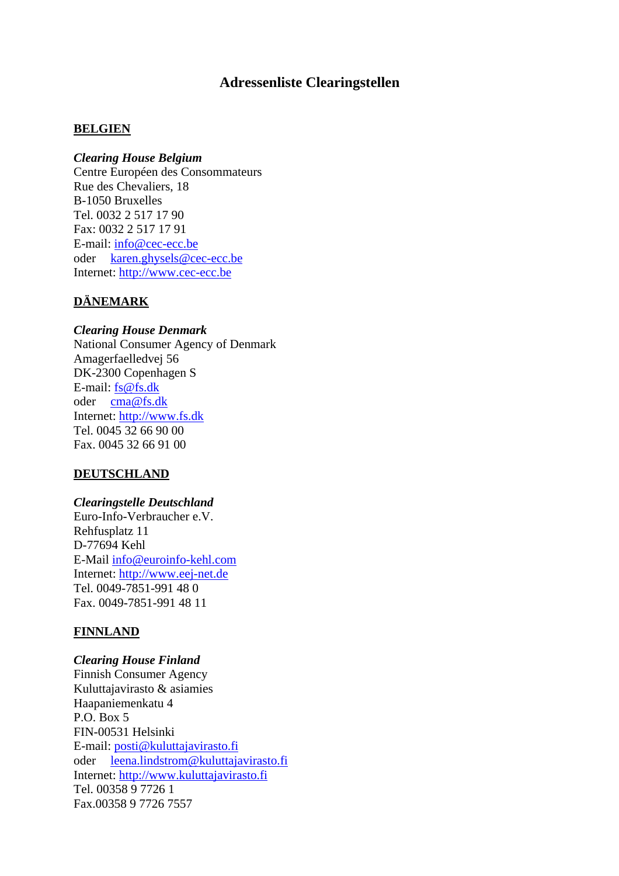# **Adressenliste Clearingstellen**

### **BELGIEN**

### *Clearing House Belgium*

Centre Européen des Consommateurs Rue des Chevaliers, 18 B-1050 Bruxelles Tel. 0032 2 517 17 90 Fax: 0032 2 517 17 91 E-mail: [info@cec-ecc.be](mailto:info@cec-ecc.be) oder karen.ghysels@cec-ecc.be Internet: [http://www.cec-ecc.be](http://www.cec-ecc.be/)

### **DÄNEMARK**

### *Clearing House Denmark*

National Consumer Agency of Denmark Amagerfaelledvej 56 DK-2300 Copenhagen S E-mail: [fs@fs.dk](mailto:fs@fs.dk) oder cma@fs.dk Internet: http://www.fs.dk Tel. 0045 32 66 90 00 Fax. 0045 32 66 91 00

### **DEUTSCHLAND**

#### *Clearingstelle Deutschland*

Euro-Info-Verbraucher e.V. Rehfusplatz 11 D-77694 Kehl E-Mail [info@euroinfo-kehl.com](mailto:info@euroinfo-kehl.com) Internet: http://www.eej-net.de Tel. 0049-7851-991 48 0 Fax. 0049-7851-991 48 11

### **FINNLAND**

### *Clearing House Finland*

Finnish Consumer Agency Kuluttajavirasto & asiamies Haapaniemenkatu 4 P.O. Box 5 FIN-00531 Helsinki E-mail: posti@kuluttajavirasto.fi oder leena.lindstrom@kuluttajavirasto.fi Internet: http://www.kuluttajavirasto.fi Tel. 00358 9 7726 1 Fax.00358 9 7726 7557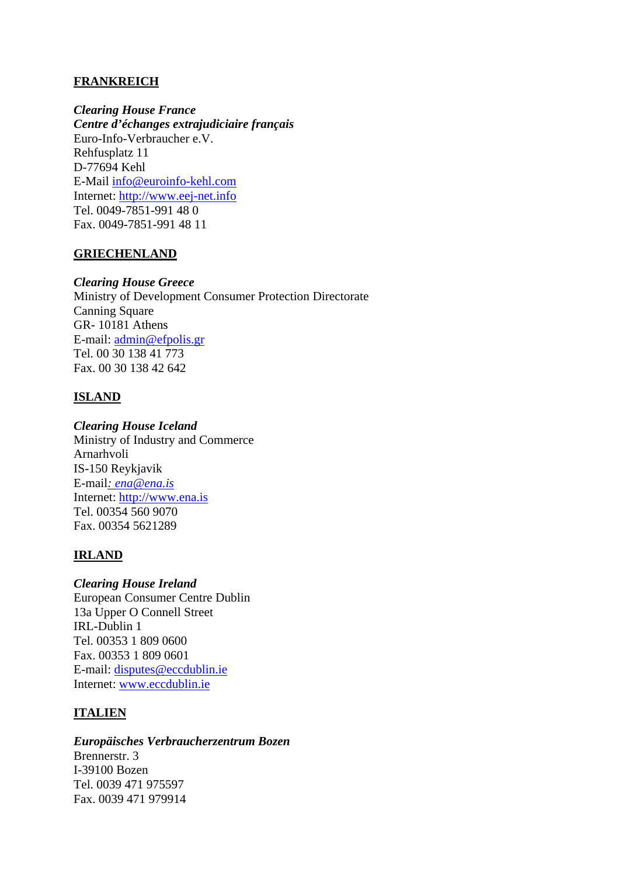# **FRANKREICH**

*Clearing House France Centre d'échanges extrajudiciaire français*  Euro-Info-Verbraucher e.V. Rehfusplatz 11 D-77694 Kehl E-Mail [info@euroinfo-kehl.com](mailto:info@euroinfo-kehl.com) Internet: http://www.eej-net.info Tel. 0049-7851-991 48 0 Fax. 0049-7851-991 48 11

## **GRIECHENLAND**

### *Clearing House Greece*

Ministry of Development Consumer Protection Directorate Canning Square GR- 10181 Athens E-mail: [admin@efpolis.gr](mailto:admin@efpolis.gr) Tel. 00 30 138 41 773 Fax. 00 30 138 42 642

# **ISLAND**

## *Clearing House Iceland*

Ministry of Industry and Commerce Arnarhvoli IS-150 Reykjavik E-mail*: [ena@ena.is](mailto:ena@ena.is)* Internet: http://www.ena.is Tel. 00354 560 9070 Fax. 00354 5621289

# **IRLAND**

## *Clearing House Ireland* European Consumer Centre Dublin 13a Upper O Connell Street IRL-Dublin 1 Tel. 00353 1 809 0600 Fax. 00353 1 809 0601 E-mail: [disputes@eccdublin.ie](mailto:disputes@ecic.ie) Internet: [www.eccdublin.ie](http://www.ecic.ie/)

# **ITALIEN**

# *Europäisches Verbraucherzentrum Bozen*

Brennerstr. 3 I-39100 Bozen Tel. 0039 471 975597 Fax. 0039 471 979914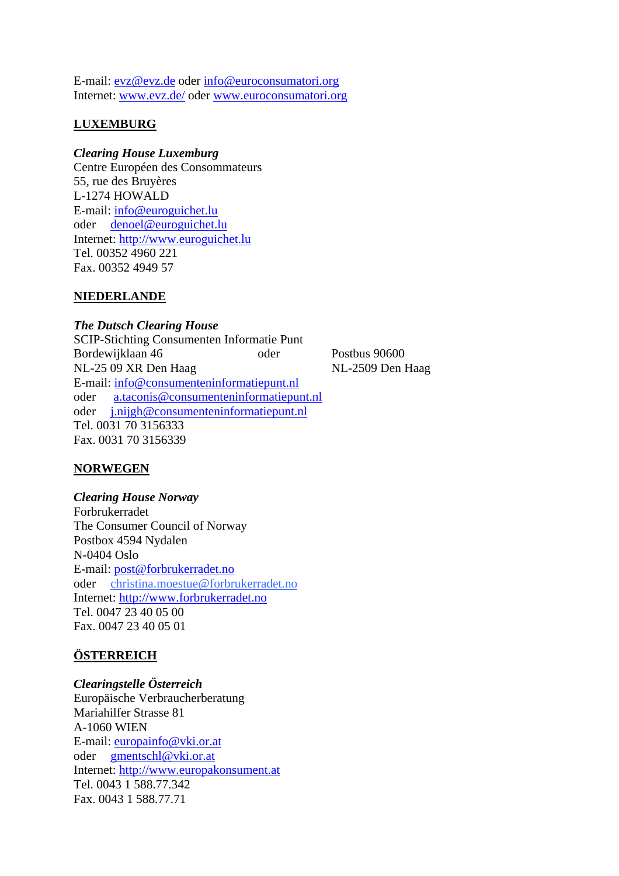E-mail: [evz@evz.de](mailto:evz@evz.de) oder [info@euroconsumatori.org](mailto:info@euroconsumatori.org) Internet: [www.evz.de/](http://www.evz.de/) oder [www.euroconsumatori.org](http://www.euroconsumatori.org/)

# **LUXEMBURG**

### *Clearing House Luxemburg*

Centre Européen des Consommateurs 55, rue des Bruyères L-1274 HOWALD E-mail: info@euroguichet.lu oder denoel@euroguichet.lu Internet: http://www.euroguichet.lu Tel. 00352 4960 221 Fax. 00352 4949 57

## **NIEDERLANDE**

*The Dutsch Clearing House*  SCIP-Stichting Consumenten Informatie Punt Bordewijklaan 46 oder Postbus 90600 NL-25 09 XR Den Haag NL-2509 Den Haag E-mail: [info@consumenteninformatiepunt.nl](mailto:info@consumenteninformatiepunt.nl) oder a.taconis@consumenteninformatiepunt.nl oder j.nijgh@consumenteninformatiepunt.nl Tel. 0031 70 3156333 Fax. 0031 70 3156339

# **NORWEGEN**

*Clearing House Norway*  Forbrukerradet The Consumer Council of Norway Postbox 4594 Nydalen N-0404 Oslo E-mail: [post@forbrukerradet.no](mailto:post@forbrukerradet.no) oder christina.moestue@forbrukerradet.no Internet: http://www.forbrukerradet.no Tel. 0047 23 40 05 00 Fax. 0047 23 40 05 01

# **ÖSTERREICH**

### *Clearingstelle Österreich*

Europäische Verbraucherberatung Mariahilfer Strasse 81 A-1060 WIEN E-mail: [europainfo@vki.or.at](mailto:europainfo@vki.or.at) oder gmentschl@vki.or.at Internet: http://www.europakonsument.at Tel. 0043 1 588.77.342 Fax. 0043 1 588.77.71